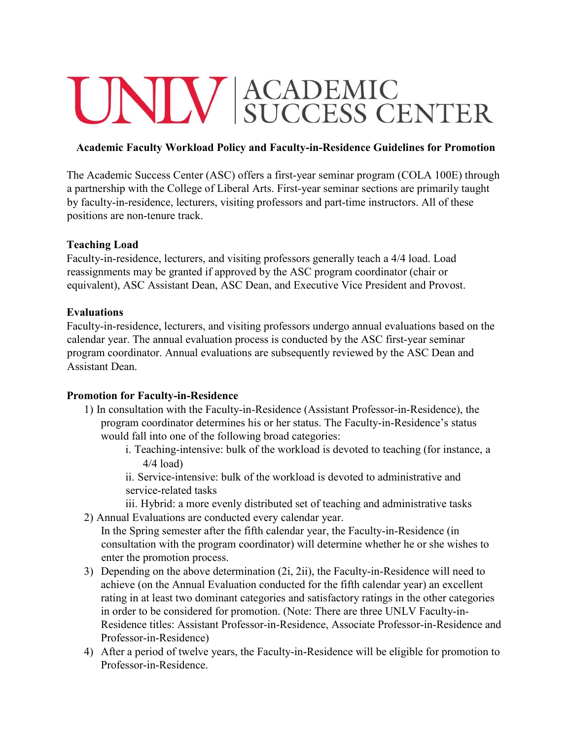# UNIV ACADEMIC<br>SUCCESS CENTER

### **Academic Faculty Workload Policy and Faculty-in-Residence Guidelines for Promotion**

The Academic Success Center (ASC) offers a first-year seminar program (COLA 100E) through a partnership with the College of Liberal Arts. First-year seminar sections are primarily taught by faculty-in-residence, lecturers, visiting professors and part-time instructors. All of these positions are non-tenure track.

### **Teaching Load**

Faculty-in-residence, lecturers, and visiting professors generally teach a 4/4 load. Load reassignments may be granted if approved by the ASC program coordinator (chair or equivalent), ASC Assistant Dean, ASC Dean, and Executive Vice President and Provost.

### **Evaluations**

Faculty-in-residence, lecturers, and visiting professors undergo annual evaluations based on the calendar year. The annual evaluation process is conducted by the ASC first-year seminar program coordinator. Annual evaluations are subsequently reviewed by the ASC Dean and Assistant Dean.

### **Promotion for Faculty-in-Residence**

- 1) In consultation with the Faculty-in-Residence (Assistant Professor-in-Residence), the program coordinator determines his or her status. The Faculty-in-Residence's status would fall into one of the following broad categories:
	- i. Teaching-intensive: bulk of the workload is devoted to teaching (for instance, a 4/4 load)

ii. Service-intensive: bulk of the workload is devoted to administrative and service-related tasks

iii. Hybrid: a more evenly distributed set of teaching and administrative tasks 2) Annual Evaluations are conducted every calendar year.

In the Spring semester after the fifth calendar year, the Faculty-in-Residence (in consultation with the program coordinator) will determine whether he or she wishes to enter the promotion process.

- 3) Depending on the above determination (2i, 2ii), the Faculty-in-Residence will need to achieve (on the Annual Evaluation conducted for the fifth calendar year) an excellent rating in at least two dominant categories and satisfactory ratings in the other categories in order to be considered for promotion. (Note: There are three UNLV Faculty-in-Residence titles: Assistant Professor-in-Residence, Associate Professor-in-Residence and Professor-in-Residence)
- 4) After a period of twelve years, the Faculty-in-Residence will be eligible for promotion to Professor-in-Residence.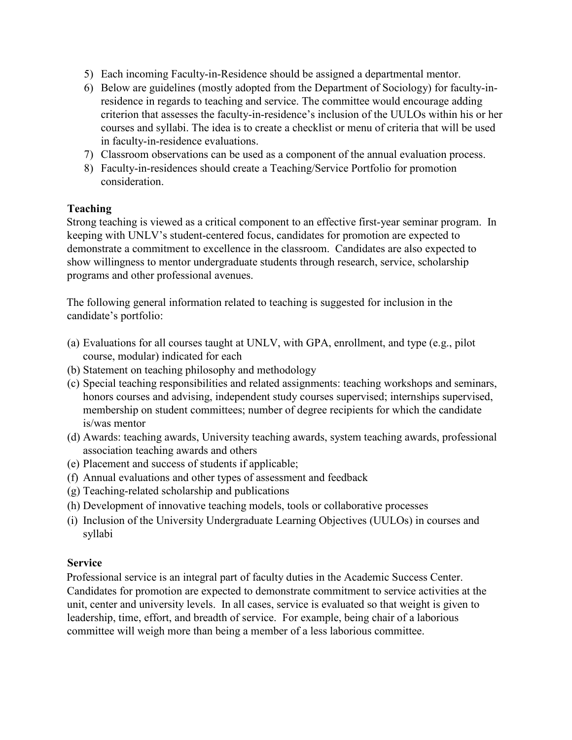- 5) Each incoming Faculty-in-Residence should be assigned a departmental mentor.
- 6) Below are guidelines (mostly adopted from the Department of Sociology) for faculty-inresidence in regards to teaching and service. The committee would encourage adding criterion that assesses the faculty-in-residence's inclusion of the UULOs within his or her courses and syllabi. The idea is to create a checklist or menu of criteria that will be used in faculty-in-residence evaluations.
- 7) Classroom observations can be used as a component of the annual evaluation process.
- 8) Faculty-in-residences should create a Teaching/Service Portfolio for promotion consideration.

## **Teaching**

Strong teaching is viewed as a critical component to an effective first-year seminar program. In keeping with UNLV's student-centered focus, candidates for promotion are expected to demonstrate a commitment to excellence in the classroom. Candidates are also expected to show willingness to mentor undergraduate students through research, service, scholarship programs and other professional avenues.

The following general information related to teaching is suggested for inclusion in the candidate's portfolio:

- (a) Evaluations for all courses taught at UNLV, with GPA, enrollment, and type (e.g., pilot course, modular) indicated for each
- (b) Statement on teaching philosophy and methodology
- (c) Special teaching responsibilities and related assignments: teaching workshops and seminars, honors courses and advising, independent study courses supervised; internships supervised, membership on student committees; number of degree recipients for which the candidate is/was mentor
- (d) Awards: teaching awards, University teaching awards, system teaching awards, professional association teaching awards and others
- (e) Placement and success of students if applicable;
- (f) Annual evaluations and other types of assessment and feedback
- (g) Teaching-related scholarship and publications
- (h) Development of innovative teaching models, tools or collaborative processes
- (i) Inclusion of the University Undergraduate Learning Objectives (UULOs) in courses and syllabi

### **Service**

Professional service is an integral part of faculty duties in the Academic Success Center. Candidates for promotion are expected to demonstrate commitment to service activities at the unit, center and university levels. In all cases, service is evaluated so that weight is given to leadership, time, effort, and breadth of service. For example, being chair of a laborious committee will weigh more than being a member of a less laborious committee.